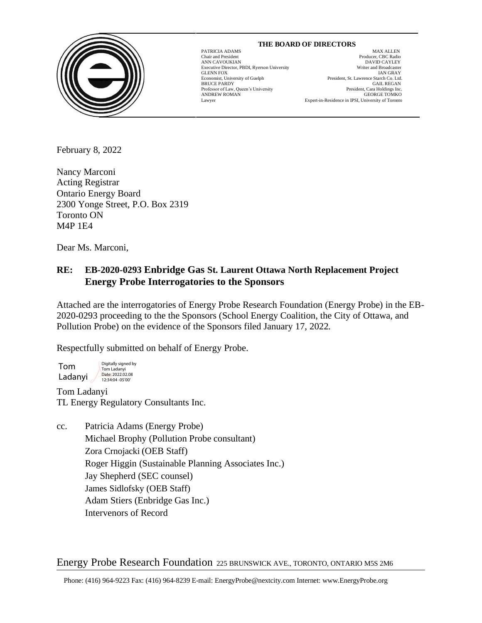

#### **THE BOARD OF DIRECTORS**

GLENN FOX<br>GLENN FOX<br>Economist, University of Guelph

 $\overline{a}$ 

PATRICIA ADAMS MAX ALLEN Chair and President Producer, CBC Radio ANN CAVOUKIAN DAVID CAYLEY BE EXECUTE OF THE EXECUTIVE DIRECTOR DETERMINION OF THE EXECUTIVE DIRECTOR SECUTION OF THE EXECUTION OF THE EXECUTION OF THE EXECUTION OF THE EXECUTION OF THE EXECUTION OF THE EXECUTION OF THE EX Executive Director, PBDI, Ryerson University Writer and Broadcaster President, St. Lawrence Starch Co. Ltd. BRUCE PARDY GAIL REGAN Professor of Law, Queen's University resident of the President, Cara Holdings Inc Professor of Law, Queen's University President, Cara Holdings Inc.<br>ANDREW ROMAN GEORGE TOMKO ANDREW ROMAN GEORGE TOMKO Lawyer Expert-in-Residence in IPSI, University of Toronto

February 8, 2022

Nancy Marconi Acting Registrar Ontario Energy Board 2300 Yonge Street, P.O. Box 2319 Toronto ON M4P 1E4

Dear Ms. Marconi,

# **RE: EB-2020-0293 Enbridge Gas St. Laurent Ottawa North Replacement Project Energy Probe Interrogatories to the Sponsors**

Attached are the interrogatories of Energy Probe Research Foundation (Energy Probe) in the EB-2020-0293 proceeding to the the Sponsors (School Energy Coalition, the City of Ottawa, and Pollution Probe) on the evidence of the Sponsors filed January 17, 2022.

Respectfully submitted on behalf of Energy Probe.

Tom Ladanyi Digitally signed by Tom Ladanyi Date: 2022.02.08 12:34:04 -05'00'

Tom Ladanyi TL Energy Regulatory Consultants Inc.

cc. Patricia Adams (Energy Probe) Michael Brophy (Pollution Probe consultant) Zora Crnojacki (OEB Staff) Roger Higgin (Sustainable Planning Associates Inc.) Jay Shepherd (SEC counsel) James Sidlofsky (OEB Staff) Adam Stiers (Enbridge Gas Inc.) Intervenors of Record

Energy Probe Research Foundation 225 BRUNSWICK AVE., TORONTO, ONTARIO M5S 2M6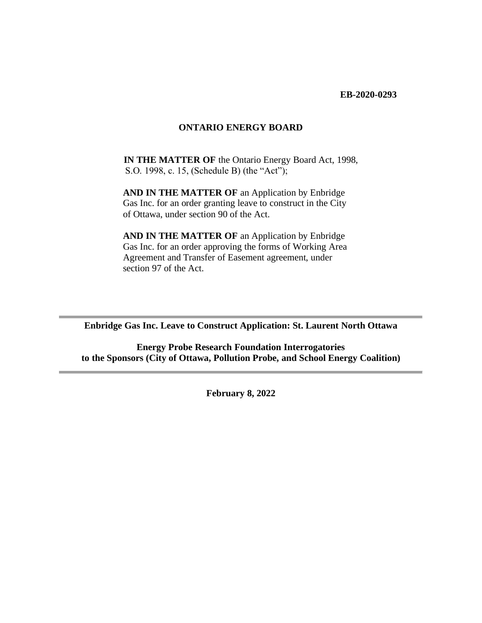**EB-2020-0293**

#### **ONTARIO ENERGY BOARD**

**IN THE MATTER OF** the Ontario Energy Board Act, 1998, S.O. 1998, c. 15, (Schedule B) (the "Act");

**AND IN THE MATTER OF an Application by Enbridge**  Gas Inc. for an order granting leave to construct in the City of Ottawa, under section 90 of the Act.

**AND IN THE MATTER OF an Application by Enbridge**  Gas Inc. for an order approving the forms of Working Area Agreement and Transfer of Easement agreement, under section 97 of the Act.

**Enbridge Gas Inc. Leave to Construct Application: St. Laurent North Ottawa**

**Energy Probe Research Foundation Interrogatories to the Sponsors (City of Ottawa, Pollution Probe, and School Energy Coalition)**

**February 8, 2022**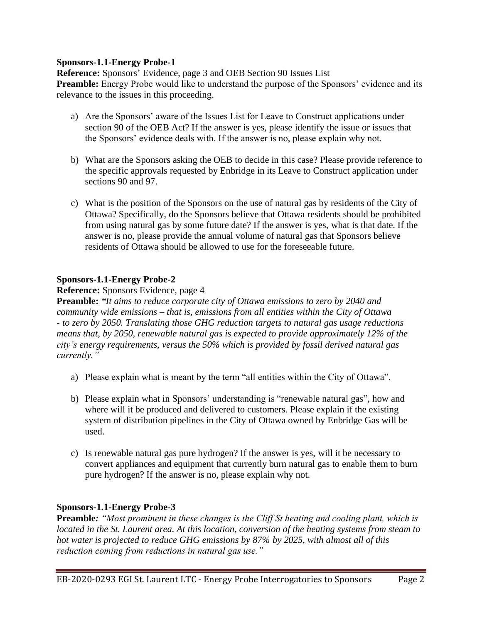**Reference:** Sponsors' Evidence, page 3 and OEB Section 90 Issues List **Preamble:** Energy Probe would like to understand the purpose of the Sponsors' evidence and its relevance to the issues in this proceeding.

- a) Are the Sponsors' aware of the Issues List for Leave to Construct applications under section 90 of the OEB Act? If the answer is yes, please identify the issue or issues that the Sponsors' evidence deals with. If the answer is no, please explain why not.
- b) What are the Sponsors asking the OEB to decide in this case? Please provide reference to the specific approvals requested by Enbridge in its Leave to Construct application under sections 90 and 97.
- c) What is the position of the Sponsors on the use of natural gas by residents of the City of Ottawa? Specifically, do the Sponsors believe that Ottawa residents should be prohibited from using natural gas by some future date? If the answer is yes, what is that date. If the answer is no, please provide the annual volume of natural gas that Sponsors believe residents of Ottawa should be allowed to use for the foreseeable future.

## **Sponsors-1.1-Energy Probe-2**

## **Reference:** Sponsors Evidence, page 4

**Preamble:** *"It aims to reduce corporate city of Ottawa emissions to zero by 2040 and community wide emissions – that is, emissions from all entities within the City of Ottawa - to zero by 2050. Translating those GHG reduction targets to natural gas usage reductions means that, by 2050, renewable natural gas is expected to provide approximately 12% of the city's energy requirements, versus the 50% which is provided by fossil derived natural gas currently."*

- a) Please explain what is meant by the term "all entities within the City of Ottawa".
- b) Please explain what in Sponsors' understanding is "renewable natural gas", how and where will it be produced and delivered to customers. Please explain if the existing system of distribution pipelines in the City of Ottawa owned by Enbridge Gas will be used.
- c) Is renewable natural gas pure hydrogen? If the answer is yes, will it be necessary to convert appliances and equipment that currently burn natural gas to enable them to burn pure hydrogen? If the answer is no, please explain why not.

## **Sponsors-1.1-Energy Probe-3**

**Preamble***: "Most prominent in these changes is the Cliff St heating and cooling plant, which is located in the St. Laurent area. At this location, conversion of the heating systems from steam to hot water is projected to reduce GHG emissions by 87% by 2025, with almost all of this reduction coming from reductions in natural gas use."*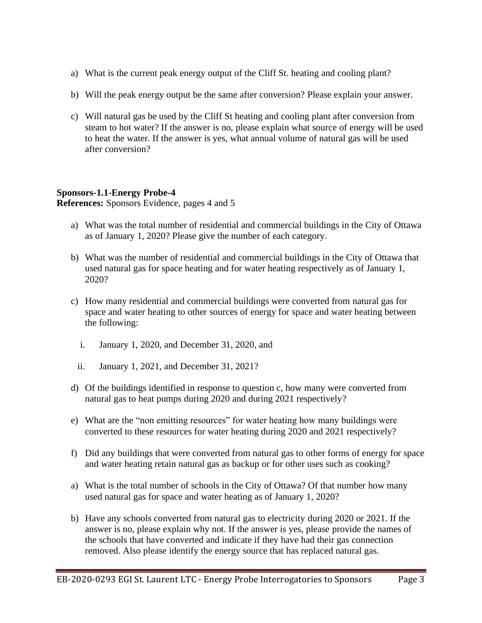- a) What is the current peak energy output of the Cliff St. heating and cooling plant?
- b) Will the peak energy output be the same after conversion? Please explain your answer.
- c) Will natural gas be used by the Cliff St heating and cooling plant after conversion from steam to hot water? If the answer is no, please explain what source of energy will be used to heat the water. If the answer is yes, what annual volume of natural gas will be used after conversion?

**References:** Sponsors Evidence, pages 4 and 5

- a) What was the total number of residential and commercial buildings in the City of Ottawa as of January 1, 2020? Please give the number of each category.
- b) What was the number of residential and commercial buildings in the City of Ottawa that used natural gas for space heating and for water heating respectively as of January 1, 2020?
- c) How many residential and commercial buildings were converted from natural gas for space and water heating to other sources of energy for space and water heating between the following:
	- i. January 1, 2020, and December 31, 2020, and
	- ii. January 1, 2021, and December 31, 2021?
- d) Of the buildings identified in response to question c, how many were converted from natural gas to heat pumps during 2020 and during 2021 respectively?
- e) What are the "non emitting resources" for water heating how many buildings were converted to these resources for water heating during 2020 and 2021 respectively?
- f) Did any buildings that were converted from natural gas to other forms of energy for space and water heating retain natural gas as backup or for other uses such as cooking?
- a) What is the total number of schools in the City of Ottawa? Of that number how many used natural gas for space and water heating as of January 1, 2020?
- b) Have any schools converted from natural gas to electricity during 2020 or 2021. If the answer is no, please explain why not. If the answer is yes, please provide the names of the schools that have converted and indicate if they have had their gas connection removed. Also please identify the energy source that has replaced natural gas.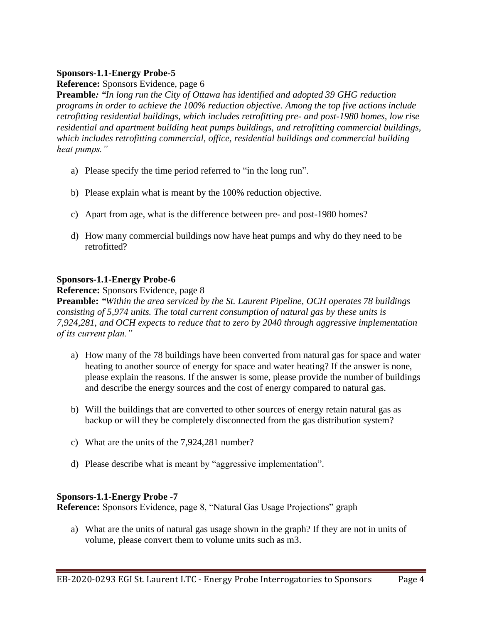**Reference:** Sponsors Evidence, page 6

**Preamble***: "In long run the City of Ottawa has identified and adopted 39 GHG reduction programs in order to achieve the 100% reduction objective. Among the top five actions include retrofitting residential buildings, which includes retrofitting pre- and post-1980 homes, low rise residential and apartment building heat pumps buildings, and retrofitting commercial buildings, which includes retrofitting commercial, office, residential buildings and commercial building heat pumps."*

- a) Please specify the time period referred to "in the long run".
- b) Please explain what is meant by the 100% reduction objective.
- c) Apart from age, what is the difference between pre- and post-1980 homes?
- d) How many commercial buildings now have heat pumps and why do they need to be retrofitted?

## **Sponsors-1.1-Energy Probe-6**

**Reference:** Sponsors Evidence, page 8

**Preamble:** *"Within the area serviced by the St. Laurent Pipeline, OCH operates 78 buildings consisting of 5,974 units. The total current consumption of natural gas by these units is 7,924,281, and OCH expects to reduce that to zero by 2040 through aggressive implementation of its current plan."*

- a) How many of the 78 buildings have been converted from natural gas for space and water heating to another source of energy for space and water heating? If the answer is none, please explain the reasons. If the answer is some, please provide the number of buildings and describe the energy sources and the cost of energy compared to natural gas.
- b) Will the buildings that are converted to other sources of energy retain natural gas as backup or will they be completely disconnected from the gas distribution system?
- c) What are the units of the 7,924,281 number?
- d) Please describe what is meant by "aggressive implementation".

## **Sponsors-1.1-Energy Probe -7**

**Reference:** Sponsors Evidence, page 8, "Natural Gas Usage Projections" graph

a) What are the units of natural gas usage shown in the graph? If they are not in units of volume, please convert them to volume units such as m3.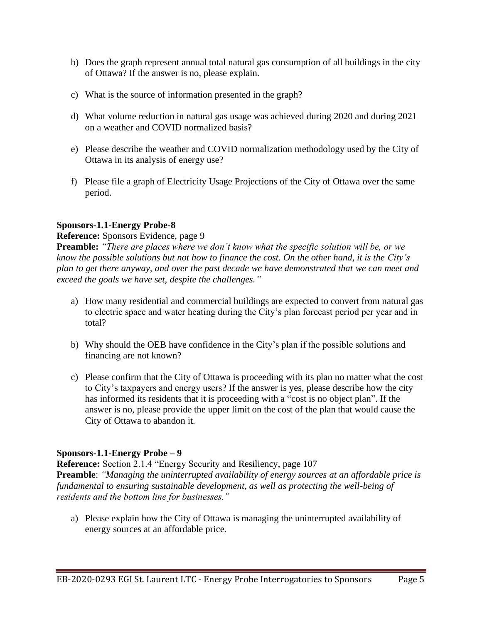- b) Does the graph represent annual total natural gas consumption of all buildings in the city of Ottawa? If the answer is no, please explain.
- c) What is the source of information presented in the graph?
- d) What volume reduction in natural gas usage was achieved during 2020 and during 2021 on a weather and COVID normalized basis?
- e) Please describe the weather and COVID normalization methodology used by the City of Ottawa in its analysis of energy use?
- f) Please file a graph of Electricity Usage Projections of the City of Ottawa over the same period.

#### **Reference:** Sponsors Evidence, page 9

**Preamble:** *"There are places where we don't know what the specific solution will be, or we know the possible solutions but not how to finance the cost. On the other hand, it is the City's plan to get there anyway, and over the past decade we have demonstrated that we can meet and exceed the goals we have set, despite the challenges."*

- a) How many residential and commercial buildings are expected to convert from natural gas to electric space and water heating during the City's plan forecast period per year and in total?
- b) Why should the OEB have confidence in the City's plan if the possible solutions and financing are not known?
- c) Please confirm that the City of Ottawa is proceeding with its plan no matter what the cost to City's taxpayers and energy users? If the answer is yes, please describe how the city has informed its residents that it is proceeding with a "cost is no object plan". If the answer is no, please provide the upper limit on the cost of the plan that would cause the City of Ottawa to abandon it.

#### **Sponsors-1.1-Energy Probe – 9**

**Reference:** Section 2.1.4 "Energy Security and Resiliency, page 107 **Preamble**: *"Managing the uninterrupted availability of energy sources at an affordable price is fundamental to ensuring sustainable development, as well as protecting the well-being of residents and the bottom line for businesses."*

a) Please explain how the City of Ottawa is managing the uninterrupted availability of energy sources at an affordable price.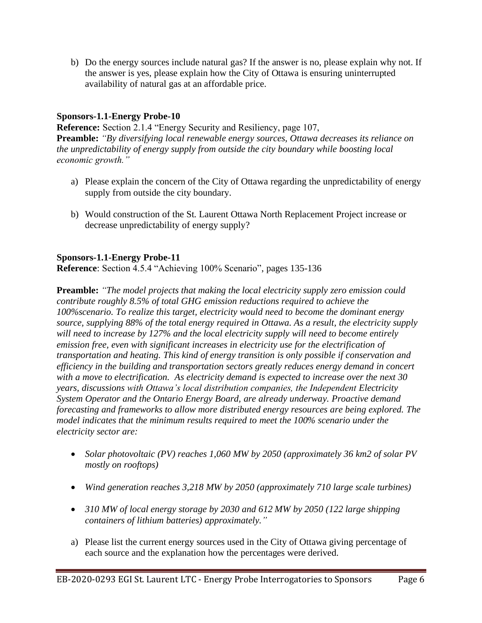b) Do the energy sources include natural gas? If the answer is no, please explain why not. If the answer is yes, please explain how the City of Ottawa is ensuring uninterrupted availability of natural gas at an affordable price.

# **Sponsors-1.1-Energy Probe-10**

**Reference:** Section 2.1.4 "Energy Security and Resiliency, page 107, **Preamble:** *"By diversifying local renewable energy sources, Ottawa decreases its reliance on the unpredictability of energy supply from outside the city boundary while boosting local economic growth."*

- a) Please explain the concern of the City of Ottawa regarding the unpredictability of energy supply from outside the city boundary.
- b) Would construction of the St. Laurent Ottawa North Replacement Project increase or decrease unpredictability of energy supply?

# **Sponsors-1.1-Energy Probe-11**

**Reference**: Section 4.5.4 "Achieving 100% Scenario", pages 135-136

**Preamble:** *"The model projects that making the local electricity supply zero emission could contribute roughly 8.5% of total GHG emission reductions required to achieve the 100%scenario. To realize this target, electricity would need to become the dominant energy source, supplying 88% of the total energy required in Ottawa. As a result, the electricity supply will need to increase by 127% and the local electricity supply will need to become entirely emission free, even with significant increases in electricity use for the electrification of transportation and heating. This kind of energy transition is only possible if conservation and efficiency in the building and transportation sectors greatly reduces energy demand in concert with a move to electrification. As electricity demand is expected to increase over the next 30 years, discussions with Ottawa's local distribution companies, the Independent Electricity System Operator and the Ontario Energy Board, are already underway. Proactive demand forecasting and frameworks to allow more distributed energy resources are being explored. The model indicates that the minimum results required to meet the 100% scenario under the electricity sector are:*

- *Solar photovoltaic (PV) reaches 1,060 MW by 2050 (approximately 36 km2 of solar PV mostly on rooftops)*
- *Wind generation reaches 3,218 MW by 2050 (approximately 710 large scale turbines)*
- *310 MW of local energy storage by 2030 and 612 MW by 2050 (122 large shipping containers of lithium batteries) approximately."*
- a) Please list the current energy sources used in the City of Ottawa giving percentage of each source and the explanation how the percentages were derived.